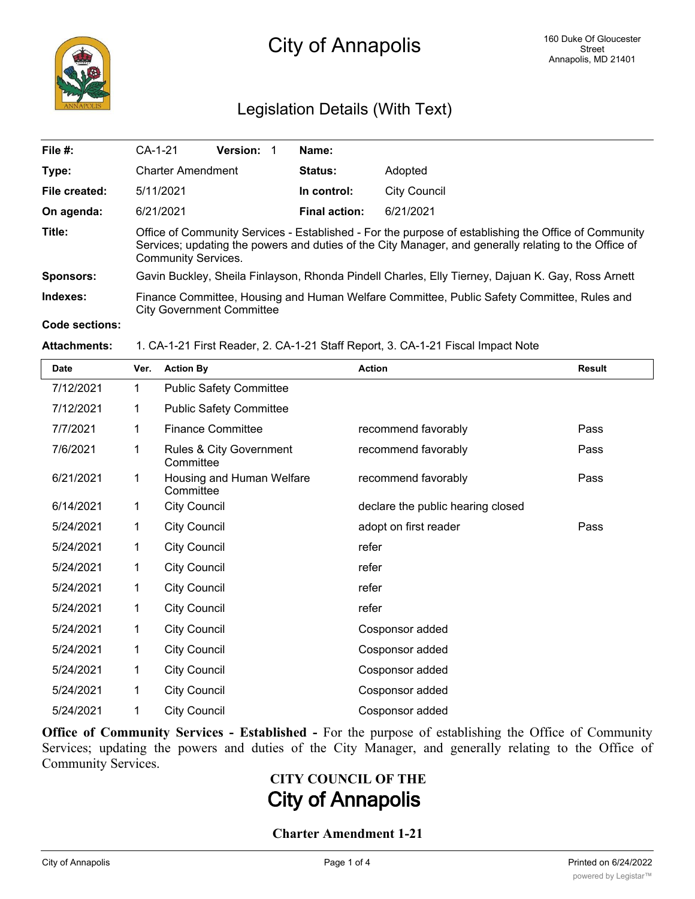

## Legislation Details (With Text)

| File #:          | $CA-1-21$                                                                                                                                                                                                                                   | <b>Version:</b> |                      | Name:        |  |  |  |
|------------------|---------------------------------------------------------------------------------------------------------------------------------------------------------------------------------------------------------------------------------------------|-----------------|----------------------|--------------|--|--|--|
| Type:            | <b>Charter Amendment</b>                                                                                                                                                                                                                    |                 | <b>Status:</b>       | Adopted      |  |  |  |
| File created:    | 5/11/2021                                                                                                                                                                                                                                   |                 | In control:          | City Council |  |  |  |
| On agenda:       | 6/21/2021                                                                                                                                                                                                                                   |                 | <b>Final action:</b> | 6/21/2021    |  |  |  |
| Title:           | Office of Community Services - Established - For the purpose of establishing the Office of Community<br>Services; updating the powers and duties of the City Manager, and generally relating to the Office of<br><b>Community Services.</b> |                 |                      |              |  |  |  |
| <b>Sponsors:</b> | Gavin Buckley, Sheila Finlayson, Rhonda Pindell Charles, Elly Tierney, Dajuan K. Gay, Ross Arnett                                                                                                                                           |                 |                      |              |  |  |  |
| Indexes:         | Finance Committee, Housing and Human Welfare Committee, Public Safety Committee, Rules and<br><b>City Government Committee</b>                                                                                                              |                 |                      |              |  |  |  |
| Code sections:   |                                                                                                                                                                                                                                             |                 |                      |              |  |  |  |

#### **Attachments:** 1. CA-1-21 First Reader, 2. CA-1-21 Staff Report, 3. CA-1-21 Fiscal Impact Note

| <b>Date</b> | Ver. | <b>Action By</b>                       | <b>Action</b>                     | <b>Result</b> |
|-------------|------|----------------------------------------|-----------------------------------|---------------|
| 7/12/2021   | 1    | <b>Public Safety Committee</b>         |                                   |               |
| 7/12/2021   | 1    | <b>Public Safety Committee</b>         |                                   |               |
| 7/7/2021    | 1    | <b>Finance Committee</b>               | recommend favorably               | Pass          |
| 7/6/2021    | 1    | Rules & City Government<br>Committee   | recommend favorably               | Pass          |
| 6/21/2021   | 1    | Housing and Human Welfare<br>Committee | recommend favorably               | Pass          |
| 6/14/2021   | 1    | <b>City Council</b>                    | declare the public hearing closed |               |
| 5/24/2021   | 1    | <b>City Council</b>                    | adopt on first reader             | Pass          |
| 5/24/2021   | 1    | <b>City Council</b>                    | refer                             |               |
| 5/24/2021   | 1    | <b>City Council</b>                    | refer                             |               |
| 5/24/2021   | 1    | <b>City Council</b>                    | refer                             |               |
| 5/24/2021   | 1    | <b>City Council</b>                    | refer                             |               |
| 5/24/2021   | 1    | <b>City Council</b>                    | Cosponsor added                   |               |
| 5/24/2021   | 1    | <b>City Council</b>                    | Cosponsor added                   |               |
| 5/24/2021   | 1    | <b>City Council</b>                    | Cosponsor added                   |               |
| 5/24/2021   | 1    | <b>City Council</b>                    | Cosponsor added                   |               |
| 5/24/2021   | 1    | <b>City Council</b>                    | Cosponsor added                   |               |

**Office of Community Services - Established -** For the purpose of establishing the Office of Community Services; updating the powers and duties of the City Manager, and generally relating to the Office of Community Services.

# **CITY COUNCIL OF THE City of Annapolis**

#### **Charter Amendment 1-21**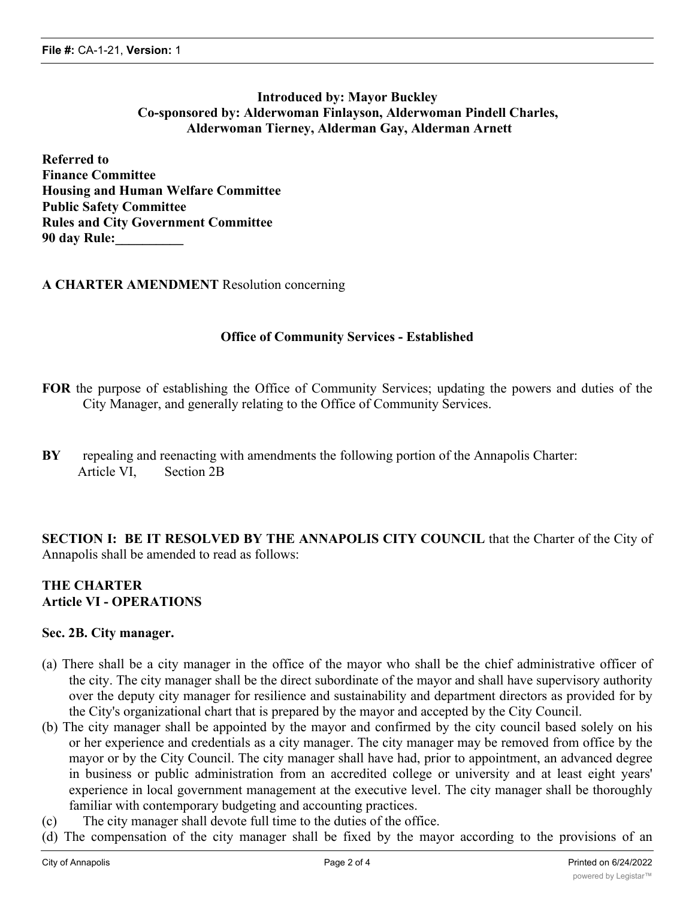### **Introduced by: Mayor Buckley Co-sponsored by: Alderwoman Finlayson, Alderwoman Pindell Charles, Alderwoman Tierney, Alderman Gay, Alderman Arnett**

**Referred to Finance Committee Housing and Human Welfare Committee Public Safety Committee Rules and City Government Committee 90 day Rule:\_\_\_\_\_\_\_\_\_\_**

#### **A CHARTER AMENDMENT** Resolution concerning

#### **Office of Community Services - Established**

- **FOR** the purpose of establishing the Office of Community Services; updating the powers and duties of the City Manager, and generally relating to the Office of Community Services.
- **BY** repealing and reenacting with amendments the following portion of the Annapolis Charter: Article VI, Section 2B

**SECTION I: BE IT RESOLVED BY THE ANNAPOLIS CITY COUNCIL** that the Charter of the City of Annapolis shall be amended to read as follows:

#### **THE CHARTER Article VI - OPERATIONS**

#### **Sec. 2B. City manager.**

- (a) There shall be a city manager in the office of the mayor who shall be the chief administrative officer of the city. The city manager shall be the direct subordinate of the mayor and shall have supervisory authority over the deputy city manager for resilience and sustainability and department directors as provided for by the City's organizational chart that is prepared by the mayor and accepted by the City Council.
- (b) The city manager shall be appointed by the mayor and confirmed by the city council based solely on his or her experience and credentials as a city manager. The city manager may be removed from office by the mayor or by the City Council. The city manager shall have had, prior to appointment, an advanced degree in business or public administration from an accredited college or university and at least eight years' experience in local government management at the executive level. The city manager shall be thoroughly familiar with contemporary budgeting and accounting practices.
- (c) The city manager shall devote full time to the duties of the office.
- (d) The compensation of the city manager shall be fixed by the mayor according to the provisions of an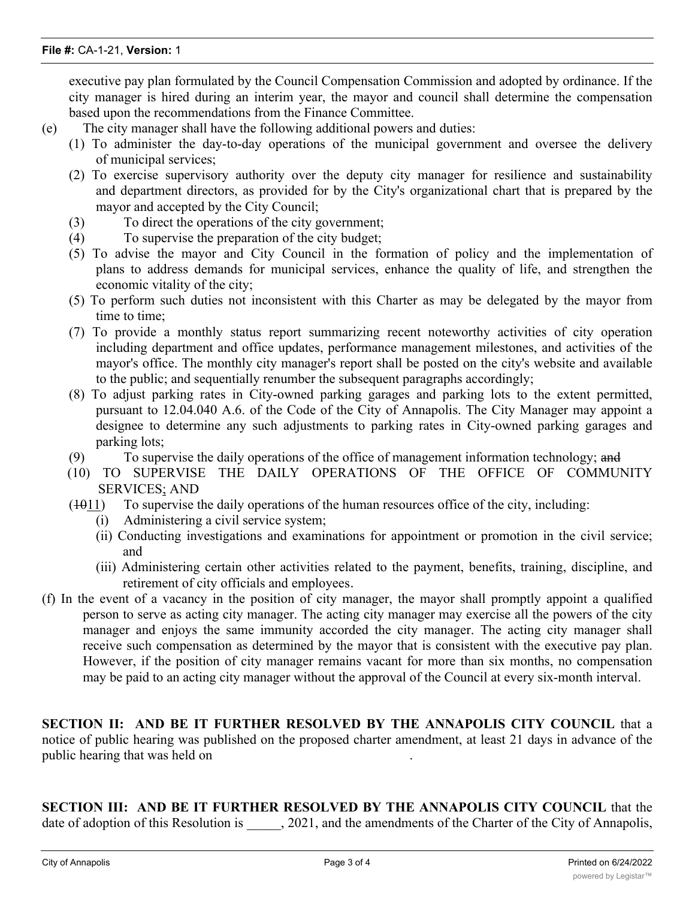executive pay plan formulated by the Council Compensation Commission and adopted by ordinance. If the city manager is hired during an interim year, the mayor and council shall determine the compensation based upon the recommendations from the Finance Committee.

- (e) The city manager shall have the following additional powers and duties:
	- (1) To administer the day-to-day operations of the municipal government and oversee the delivery of municipal services;
	- (2) To exercise supervisory authority over the deputy city manager for resilience and sustainability and department directors, as provided for by the City's organizational chart that is prepared by the mayor and accepted by the City Council;
	- (3) To direct the operations of the city government;
	- (4) To supervise the preparation of the city budget;
	- (5) To advise the mayor and City Council in the formation of policy and the implementation of plans to address demands for municipal services, enhance the quality of life, and strengthen the economic vitality of the city;
	- (5) To perform such duties not inconsistent with this Charter as may be delegated by the mayor from time to time;
	- (7) To provide a monthly status report summarizing recent noteworthy activities of city operation including department and office updates, performance management milestones, and activities of the mayor's office. The monthly city manager's report shall be posted on the city's website and available to the public; and sequentially renumber the subsequent paragraphs accordingly;
	- (8) To adjust parking rates in City-owned parking garages and parking lots to the extent permitted, pursuant to 12.04.040 A.6. of the Code of the City of Annapolis. The City Manager may appoint a designee to determine any such adjustments to parking rates in City-owned parking garages and parking lots;
	- $(9)$  To supervise the daily operations of the office of management information technology; and
	- (10) TO SUPERVISE THE DAILY OPERATIONS OF THE OFFICE OF COMMUNITY SERVICES; AND
	- $(1011)$  To supervise the daily operations of the human resources office of the city, including:
		- (i) Administering a civil service system;
		- (ii) Conducting investigations and examinations for appointment or promotion in the civil service; and
		- (iii) Administering certain other activities related to the payment, benefits, training, discipline, and retirement of city officials and employees.
- (f) In the event of a vacancy in the position of city manager, the mayor shall promptly appoint a qualified person to serve as acting city manager. The acting city manager may exercise all the powers of the city manager and enjoys the same immunity accorded the city manager. The acting city manager shall receive such compensation as determined by the mayor that is consistent with the executive pay plan. However, if the position of city manager remains vacant for more than six months, no compensation may be paid to an acting city manager without the approval of the Council at every six-month interval.

**SECTION II: AND BE IT FURTHER RESOLVED BY THE ANNAPOLIS CITY COUNCIL** that a notice of public hearing was published on the proposed charter amendment, at least 21 days in advance of the public hearing that was held on .

**SECTION III: AND BE IT FURTHER RESOLVED BY THE ANNAPOLIS CITY COUNCIL** that the date of adoption of this Resolution is  $\qquad$ , 2021, and the amendments of the Charter of the City of Annapolis,